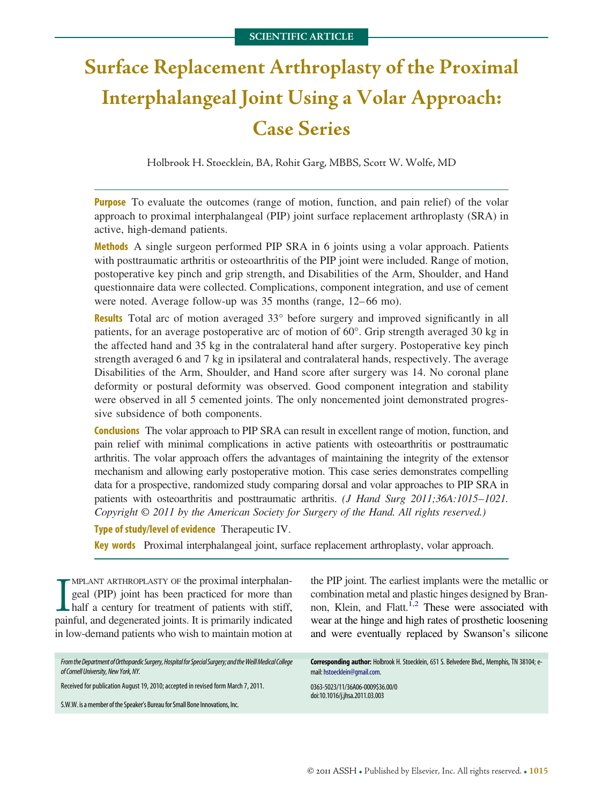# **Surface Replacement Arthroplasty of the Proximal Interphalangeal Joint Using a Volar Approach: Case Series**

Holbrook H. Stoecklein, BA, Rohit Garg, MBBS, Scott W. Wolfe, MD

**Purpose** To evaluate the outcomes (range of motion, function, and pain relief) of the volar approach to proximal interphalangeal (PIP) joint surface replacement arthroplasty (SRA) in active, high-demand patients.

**Methods** A single surgeon performed PIP SRA in 6 joints using a volar approach. Patients with posttraumatic arthritis or osteoarthritis of the PIP joint were included. Range of motion, postoperative key pinch and grip strength, and Disabilities of the Arm, Shoulder, and Hand questionnaire data were collected. Complications, component integration, and use of cement were noted. Average follow-up was 35 months (range, 12–66 mo).

**Results** Total arc of motion averaged 33° before surgery and improved significantly in all patients, for an average postoperative arc of motion of 60°. Grip strength averaged 30 kg in the affected hand and 35 kg in the contralateral hand after surgery. Postoperative key pinch strength averaged 6 and 7 kg in ipsilateral and contralateral hands, respectively. The average Disabilities of the Arm, Shoulder, and Hand score after surgery was 14. No coronal plane deformity or postural deformity was observed. Good component integration and stability were observed in all 5 cemented joints. The only noncemented joint demonstrated progressive subsidence of both components.

**Conclusions** The volar approach to PIP SRA can result in excellent range of motion, function, and pain relief with minimal complications in active patients with osteoarthritis or posttraumatic arthritis. The volar approach offers the advantages of maintaining the integrity of the extensor mechanism and allowing early postoperative motion. This case series demonstrates compelling data for a prospective, randomized study comparing dorsal and volar approaches to PIP SRA in patients with osteoarthritis and posttraumatic arthritis. *(J Hand Surg 2011;36A:1015*–*1021. Copyright © 2011 by the American Society for Surgery of the Hand. All rights reserved.)*

**Type of study/level of evidence** Therapeutic IV.

**Key words** Proximal interphalangeal joint, surface replacement arthroplasty, volar approach.

**IMPLANT ARTHROPLASTY OF the proximal interphalangeal (PIP) joint has been practiced for more than half a century for treatment of patients with stiff, painful, and degenerated joints. It is primarily indicated** MPLANT ARTHROPLASTY OF the proximal interphalangeal (PIP) joint has been practiced for more than half a century for treatment of patients with stiff, in low-demand patients who wish to maintain motion at

*FromtheDepartmentofOrthopaedicSurgery,HospitalforSpecialSurgery;andtheWeillMedicalCollege* of Cornell University, New York, NY.

Received for publication August 19, 2010; accepted in revised form March 7, 2011.

S.W.W. is a member of the Speaker's Bureau for Small Bone Innovations, Inc.

the PIP joint. The earliest implants were the metallic or combination metal and plastic hinges designed by Brannon, Klein, and Flatt. $^{1,2}$  These were associated with wear at the hinge and high rates of prosthetic loosening and were eventually replaced by Swanson's silicone

**Corresponding author:** Holbrook H. Stoecklein, 651 S. Belvedere Blvd., Memphis, TN 38104; email: [hstoecklein@gmail.com.](mailto:hstoecklein@gmail.com)

0363-5023/11/36A06-0009\$36.00/0 doi:10.1016/j.jhsa.2011.03.003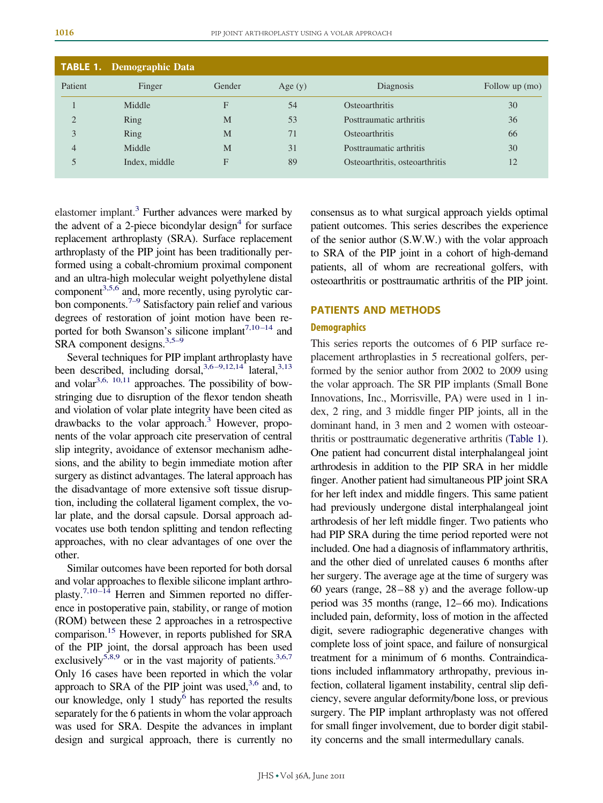<span id="page-1-0"></span>

|                | <b>TABLE 1.</b> Demographic Data |        |           |                                |                |
|----------------|----------------------------------|--------|-----------|--------------------------------|----------------|
| Patient        | Finger                           | Gender | Age $(y)$ | Diagnosis                      | Follow up (mo) |
|                | Middle                           | F      | 54        | <b>Osteoarthritis</b>          | 30             |
| 2              | Ring                             | M      | 53        | Posttraumatic arthritis        | 36             |
| 3              | Ring                             | M      | 71        | <b>Osteoarthritis</b>          | 66             |
| $\overline{4}$ | Middle                           | M      | 31        | Posttraumatic arthritis        | 30             |
| 5              | Index, middle                    | F      | 89        | Osteoarthritis, osteoarthritis | 12             |

elastomer implant.<sup>3</sup> Further advances were marked by the advent of a 2-piece bicondylar design<sup>4</sup> for surface replacement arthroplasty (SRA). Surface replacement arthroplasty of the PIP joint has been traditionally performed using a cobalt-chromium proximal component and an ultra-high molecular weight polyethylene distal component<sup>3,5,6</sup> and, more recently, using pyrolytic carbon components.<sup> $7-9$ </sup> Satisfactory pain relief and various degrees of restoration of joint motion have been reported for both Swanson's silicone implant<sup>7,10–14</sup> and SRA component designs. $3,5-9$ 

Several techniques for PIP implant arthroplasty have been described, including dorsal,  $3,6-9,12,14$  lateral,  $3,13$ and volar $3,6, 10,11$  approaches. The possibility of bowstringing due to disruption of the flexor tendon sheath and violation of volar plate integrity have been cited as drawbacks to the volar approach.<sup>3</sup> However, proponents of the volar approach cite preservation of central slip integrity, avoidance of extensor mechanism adhesions, and the ability to begin immediate motion after surgery as distinct advantages. The lateral approach has the disadvantage of more extensive soft tissue disruption, including the collateral ligament complex, the volar plate, and the dorsal capsule. Dorsal approach advocates use both tendon splitting and tendon reflecting approaches, with no clear advantages of one over the other.

Similar outcomes have been reported for both dorsal and volar approaches to flexible silicone implant arthroplasty.<sup>7,10–14</sup> Herren and Simmen reported no difference in postoperative pain, stability, or range of motion (ROM) between these 2 approaches in a retrospective comparison[.15](#page-6-0) However, in reports published for SRA of the PIP joint, the dorsal approach has been used exclusively<sup>5,8,9</sup> or in the vast majority of patients.<sup>3,6,7</sup> Only 16 cases have been reported in which the volar approach to SRA of the PIP joint was used, $3,6$  and, to our knowledge, only 1 study $<sup>6</sup>$  has reported the results</sup> separately for the 6 patients in whom the volar approach was used for SRA. Despite the advances in implant design and surgical approach, there is currently no consensus as to what surgical approach yields optimal patient outcomes. This series describes the experience of the senior author (S.W.W.) with the volar approach to SRA of the PIP joint in a cohort of high-demand patients, all of whom are recreational golfers, with osteoarthritis or posttraumatic arthritis of the PIP joint.

#### **PATIENTS AND METHODS**

#### **Demographics**

This series reports the outcomes of 6 PIP surface replacement arthroplasties in 5 recreational golfers, performed by the senior author from 2002 to 2009 using the volar approach. The SR PIP implants (Small Bone Innovations, Inc., Morrisville, PA) were used in 1 index, 2 ring, and 3 middle finger PIP joints, all in the dominant hand, in 3 men and 2 women with osteoarthritis or posttraumatic degenerative arthritis [\(Table 1\)](#page-1-0). One patient had concurrent distal interphalangeal joint arthrodesis in addition to the PIP SRA in her middle finger. Another patient had simultaneous PIP joint SRA for her left index and middle fingers. This same patient had previously undergone distal interphalangeal joint arthrodesis of her left middle finger. Two patients who had PIP SRA during the time period reported were not included. One had a diagnosis of inflammatory arthritis, and the other died of unrelated causes 6 months after her surgery. The average age at the time of surgery was 60 years (range, 28–88 y) and the average follow-up period was 35 months (range, 12–66 mo). Indications included pain, deformity, loss of motion in the affected digit, severe radiographic degenerative changes with complete loss of joint space, and failure of nonsurgical treatment for a minimum of 6 months. Contraindications included inflammatory arthropathy, previous infection, collateral ligament instability, central slip deficiency, severe angular deformity/bone loss, or previous surgery. The PIP implant arthroplasty was not offered for small finger involvement, due to border digit stability concerns and the small intermedullary canals.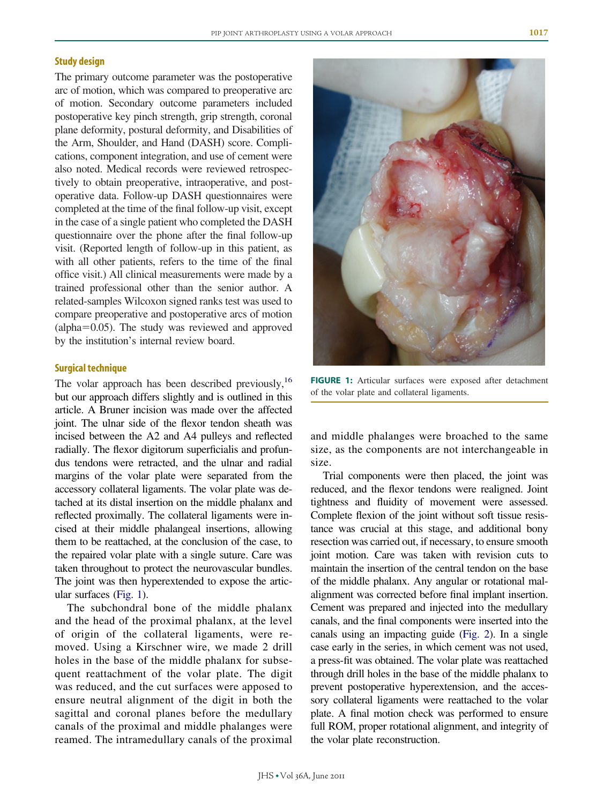### **Study design**

The primary outcome parameter was the postoperative arc of motion, which was compared to preoperative arc of motion. Secondary outcome parameters included postoperative key pinch strength, grip strength, coronal plane deformity, postural deformity, and Disabilities of the Arm, Shoulder, and Hand (DASH) score. Complications, component integration, and use of cement were also noted. Medical records were reviewed retrospectively to obtain preoperative, intraoperative, and postoperative data. Follow-up DASH questionnaires were completed at the time of the final follow-up visit, except in the case of a single patient who completed the DASH questionnaire over the phone after the final follow-up visit. (Reported length of follow-up in this patient, as with all other patients, refers to the time of the final office visit.) All clinical measurements were made by a trained professional other than the senior author. A related-samples Wilcoxon signed ranks test was used to compare preoperative and postoperative arcs of motion  $\alpha$ (alpha=0.05). The study was reviewed and approved by the institution's internal review board.

#### **Surgical technique**

The volar approach has been described previously,<sup>16</sup> but our approach differs slightly and is outlined in this article. A Bruner incision was made over the affected joint. The ulnar side of the flexor tendon sheath was incised between the A2 and A4 pulleys and reflected radially. The flexor digitorum superficialis and profundus tendons were retracted, and the ulnar and radial margins of the volar plate were separated from the accessory collateral ligaments. The volar plate was detached at its distal insertion on the middle phalanx and reflected proximally. The collateral ligaments were incised at their middle phalangeal insertions, allowing them to be reattached, at the conclusion of the case, to the repaired volar plate with a single suture. Care was taken throughout to protect the neurovascular bundles. The joint was then hyperextended to expose the articular surfaces [\(Fig. 1\)](#page-2-0).

The subchondral bone of the middle phalanx and the head of the proximal phalanx, at the level of origin of the collateral ligaments, were removed. Using a Kirschner wire, we made 2 drill holes in the base of the middle phalanx for subsequent reattachment of the volar plate. The digit was reduced, and the cut surfaces were apposed to ensure neutral alignment of the digit in both the sagittal and coronal planes before the medullary canals of the proximal and middle phalanges were reamed. The intramedullary canals of the proximal



**FIGURE 1:** Articular surfaces were exposed after detachment of the volar plate and collateral ligaments.

<span id="page-2-0"></span>and middle phalanges were broached to the same size, as the components are not interchangeable in size.

Trial components were then placed, the joint was reduced, and the flexor tendons were realigned. Joint tightness and fluidity of movement were assessed. Complete flexion of the joint without soft tissue resistance was crucial at this stage, and additional bony resection was carried out, if necessary, to ensure smooth joint motion. Care was taken with revision cuts to maintain the insertion of the central tendon on the base of the middle phalanx. Any angular or rotational malalignment was corrected before final implant insertion. Cement was prepared and injected into the medullary canals, and the final components were inserted into the canals using an impacting guide [\(Fig. 2\)](#page-3-0). In a single case early in the series, in which cement was not used, a press-fit was obtained. The volar plate was reattached through drill holes in the base of the middle phalanx to prevent postoperative hyperextension, and the accessory collateral ligaments were reattached to the volar plate. A final motion check was performed to ensure full ROM, proper rotational alignment, and integrity of the volar plate reconstruction.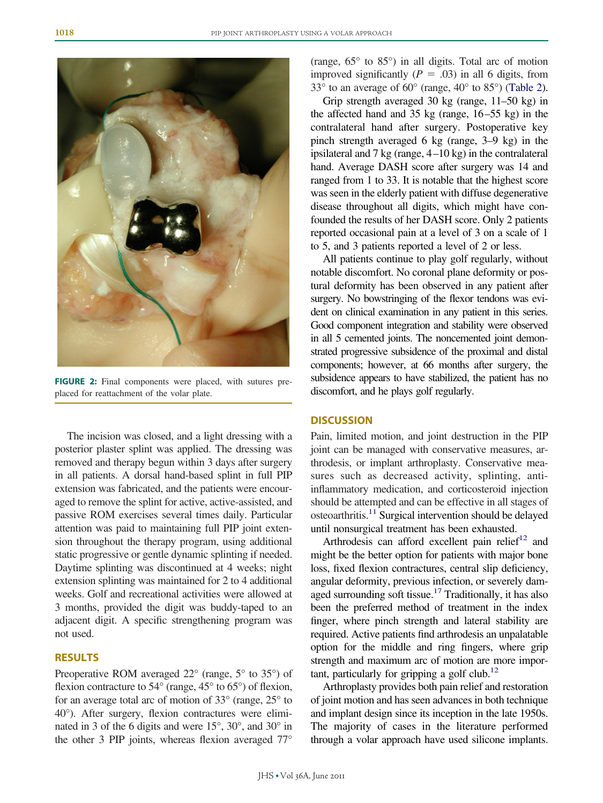

**FIGURE 2:** Final components were placed, with sutures preplaced for reattachment of the volar plate.

<span id="page-3-0"></span>The incision was closed, and a light dressing with a posterior plaster splint was applied. The dressing was removed and therapy begun within 3 days after surgery in all patients. A dorsal hand-based splint in full PIP extension was fabricated, and the patients were encouraged to remove the splint for active, active-assisted, and passive ROM exercises several times daily. Particular attention was paid to maintaining full PIP joint extension throughout the therapy program, using additional static progressive or gentle dynamic splinting if needed. Daytime splinting was discontinued at 4 weeks; night extension splinting was maintained for 2 to 4 additional weeks. Golf and recreational activities were allowed at 3 months, provided the digit was buddy-taped to an adjacent digit. A specific strengthening program was not used.

## **RESULTS**

Preoperative ROM averaged 22° (range, 5° to 35°) of flexion contracture to 54° (range, 45° to 65°) of flexion, for an average total arc of motion of 33° (range, 25° to 40°). After surgery, flexion contractures were eliminated in 3 of the 6 digits and were 15°, 30°, and 30° in the other 3 PIP joints, whereas flexion averaged 77°

(range, 65° to 85°) in all digits. Total arc of motion improved significantly  $(P = .03)$  in all 6 digits, from 33° to an average of 60° (range, 40° to 85°) [\(Table 2\)](#page-4-0).

Grip strength averaged 30 kg (range, 11–50 kg) in the affected hand and 35 kg (range, 16–55 kg) in the contralateral hand after surgery. Postoperative key pinch strength averaged 6 kg (range, 3–9 kg) in the ipsilateral and 7 kg (range, 4–10 kg) in the contralateral hand. Average DASH score after surgery was 14 and ranged from 1 to 33. It is notable that the highest score was seen in the elderly patient with diffuse degenerative disease throughout all digits, which might have confounded the results of her DASH score. Only 2 patients reported occasional pain at a level of 3 on a scale of 1 to 5, and 3 patients reported a level of 2 or less.

All patients continue to play golf regularly, without notable discomfort. No coronal plane deformity or postural deformity has been observed in any patient after surgery. No bowstringing of the flexor tendons was evident on clinical examination in any patient in this series. Good component integration and stability were observed in all 5 cemented joints. The noncemented joint demonstrated progressive subsidence of the proximal and distal components; however, at 66 months after surgery, the subsidence appears to have stabilized, the patient has no discomfort, and he plays golf regularly.

#### **DISCUSSION**

Pain, limited motion, and joint destruction in the PIP joint can be managed with conservative measures, arthrodesis, or implant arthroplasty. Conservative measures such as decreased activity, splinting, antiinflammatory medication, and corticosteroid injection should be attempted and can be effective in all stages of  $osteoarthritis.<sup>11</sup> Surgical intervention should be delayed$ until nonsurgical treatment has been exhausted.

Arthrodesis can afford excellent pain relief<sup>12</sup> and might be the better option for patients with major bone loss, fixed flexion contractures, central slip deficiency, angular deformity, previous infection, or severely damaged surrounding soft tissue.<sup>17</sup> Traditionally, it has also been the preferred method of treatment in the index finger, where pinch strength and lateral stability are required. Active patients find arthrodesis an unpalatable option for the middle and ring fingers, where grip strength and maximum arc of motion are more important, particularly for gripping a golf club.<sup>12</sup>

Arthroplasty provides both pain relief and restoration of joint motion and has seen advances in both technique and implant design since its inception in the late 1950s. The majority of cases in the literature performed through a volar approach have used silicone implants.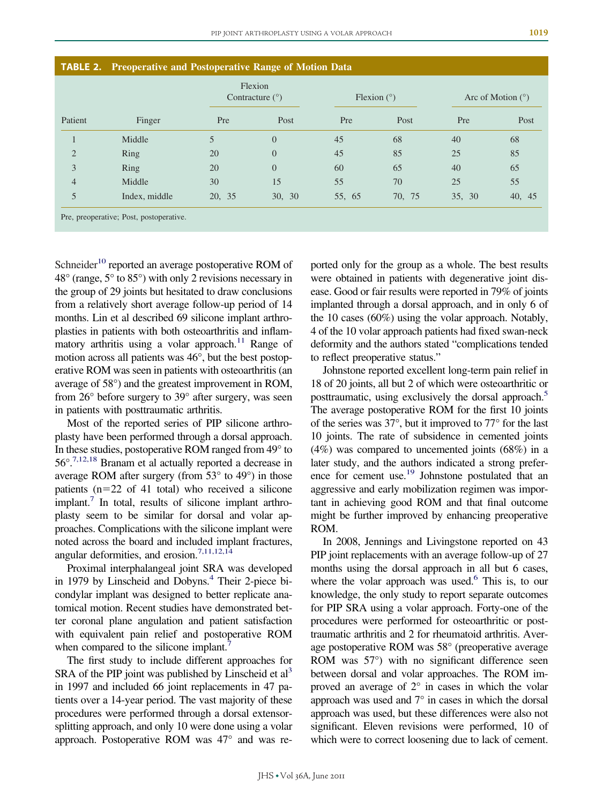<span id="page-4-0"></span>

| Patient        | Finger        | Flexion<br>Contracture $(°)$ |                | Flexion $(°)$ |        | Arc of Motion $(°)$ |        |
|----------------|---------------|------------------------------|----------------|---------------|--------|---------------------|--------|
|                |               | Pre                          | Post           | Pre           | Post   | Pre                 | Post   |
|                | Middle        | 5                            | $\overline{0}$ | 45            | 68     | 40                  | 68     |
| $\overline{2}$ | Ring          | 20                           | $\overline{0}$ | 45            | 85     | 25                  | 85     |
| 3              | Ring          | 20                           | $\overline{0}$ | 60            | 65     | 40                  | 65     |
| $\overline{4}$ | Middle        | 30                           | 15             | 55            | 70     | 25                  | 55     |
| 5              | Index, middle | 20, 35                       | 30, 30         | 55, 65        | 70, 75 | 35, 30              | 40, 45 |

Schneider<sup>10</sup> reported an average postoperative ROM of 48° (range, 5° to 85°) with only 2 revisions necessary in the group of 29 joints but hesitated to draw conclusions from a relatively short average follow-up period of 14 months. Lin et al described 69 silicone implant arthroplasties in patients with both osteoarthritis and inflammatory arthritis using a volar approach.<sup>11</sup> Range of motion across all patients was 46°, but the best postoperative ROM was seen in patients with osteoarthritis (an average of 58°) and the greatest improvement in ROM, from 26° before surgery to 39° after surgery, was seen in patients with posttraumatic arthritis.

Most of the reported series of PIP silicone arthroplasty have been performed through a dorsal approach. In these studies, postoperative ROM ranged from 49° to 56°[.7,12,18](#page-5-3) Branam et al actually reported a decrease in average ROM after surgery (from  $53^{\circ}$  to  $49^{\circ}$ ) in those patients  $(n=22 \text{ of } 41 \text{ total})$  who received a silicone implant[.7](#page-5-3) In total, results of silicone implant arthroplasty seem to be similar for dorsal and volar approaches. Complications with the silicone implant were noted across the board and included implant fractures, angular deformities, and erosion.<sup>7,11,12,14</sup>

Proximal interphalangeal joint SRA was developed in 1979 by Linscheid and Dobyns.<sup>4</sup> Their 2-piece bicondylar implant was designed to better replicate anatomical motion. Recent studies have demonstrated better coronal plane angulation and patient satisfaction with equivalent pain relief and postoperative ROM when compared to the silicone implant.<sup>7</sup>

The first study to include different approaches for SRA of the PIP joint was published by Linscheid et  $al<sup>3</sup>$ in 1997 and included 66 joint replacements in 47 patients over a 14-year period. The vast majority of these procedures were performed through a dorsal extensorsplitting approach, and only 10 were done using a volar approach. Postoperative ROM was 47° and was reported only for the group as a whole. The best results were obtained in patients with degenerative joint disease. Good or fair results were reported in 79% of joints implanted through a dorsal approach, and in only 6 of the 10 cases (60%) using the volar approach. Notably, 4 of the 10 volar approach patients had fixed swan-neck deformity and the authors stated "complications tended to reflect preoperative status."

Johnstone reported excellent long-term pain relief in 18 of 20 joints, all but 2 of which were osteoarthritic or posttraumatic, using exclusively the dorsal approach.<sup>5</sup> The average postoperative ROM for the first 10 joints of the series was 37°, but it improved to 77° for the last 10 joints. The rate of subsidence in cemented joints (4%) was compared to uncemented joints (68%) in a later study, and the authors indicated a strong preference for cement use.<sup>19</sup> Johnstone postulated that an aggressive and early mobilization regimen was important in achieving good ROM and that final outcome might be further improved by enhancing preoperative ROM.

In 2008, Jennings and Livingstone reported on 43 PIP joint replacements with an average follow-up of 27 months using the dorsal approach in all but 6 cases, where the volar approach was used.<sup>6</sup> This is, to our knowledge, the only study to report separate outcomes for PIP SRA using a volar approach. Forty-one of the procedures were performed for osteoarthritic or posttraumatic arthritis and 2 for rheumatoid arthritis. Average postoperative ROM was 58° (preoperative average ROM was 57°) with no significant difference seen between dorsal and volar approaches. The ROM improved an average of 2° in cases in which the volar approach was used and 7° in cases in which the dorsal approach was used, but these differences were also not significant. Eleven revisions were performed, 10 of which were to correct loosening due to lack of cement.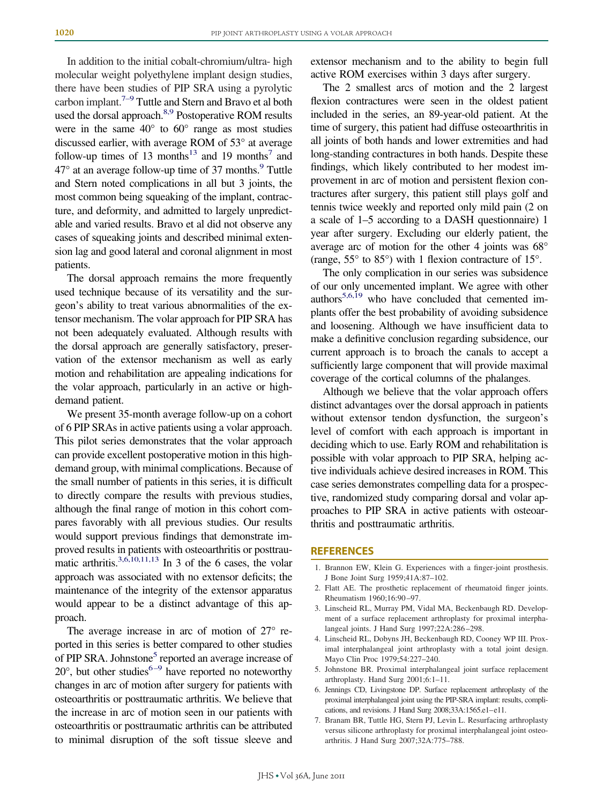In addition to the initial cobalt-chromium/ultra- high molecular weight polyethylene implant design studies, there have been studies of PIP SRA using a pyrolytic carbon implant.<sup> $7-9$ </sup> Tuttle and Stern and Bravo et al both used the dorsal approach.<sup>8,9</sup> Postoperative ROM results were in the same  $40^{\circ}$  to  $60^{\circ}$  range as most studies discussed earlier, with average ROM of 53° at average follow-up times of 13 months<sup>13</sup> and 19 months<sup>7</sup> and  $47^{\circ}$  at an average follow-up time of 37 months.<sup>9</sup> Tuttle and Stern noted complications in all but 3 joints, the most common being squeaking of the implant, contracture, and deformity, and admitted to largely unpredictable and varied results. Bravo et al did not observe any cases of squeaking joints and described minimal extension lag and good lateral and coronal alignment in most patients.

The dorsal approach remains the more frequently used technique because of its versatility and the surgeon's ability to treat various abnormalities of the extensor mechanism. The volar approach for PIP SRA has not been adequately evaluated. Although results with the dorsal approach are generally satisfactory, preservation of the extensor mechanism as well as early motion and rehabilitation are appealing indications for the volar approach, particularly in an active or highdemand patient.

We present 35-month average follow-up on a cohort of 6 PIP SRAs in active patients using a volar approach. This pilot series demonstrates that the volar approach can provide excellent postoperative motion in this highdemand group, with minimal complications. Because of the small number of patients in this series, it is difficult to directly compare the results with previous studies, although the final range of motion in this cohort compares favorably with all previous studies. Our results would support previous findings that demonstrate improved results in patients with osteoarthritis or posttraumatic arthritis.<sup>3,6,10,11,13</sup> In 3 of the 6 cases, the volar approach was associated with no extensor deficits; the maintenance of the integrity of the extensor apparatus would appear to be a distinct advantage of this approach.

The average increase in arc of motion of 27° reported in this series is better compared to other studies of PIP SRA. Johnstone<sup>5</sup> reported an average increase of  $20^{\circ}$ , but other studies<sup>6–9</sup> have reported no noteworthy changes in arc of motion after surgery for patients with osteoarthritis or posttraumatic arthritis. We believe that the increase in arc of motion seen in our patients with osteoarthritis or posttraumatic arthritis can be attributed to minimal disruption of the soft tissue sleeve and extensor mechanism and to the ability to begin full active ROM exercises within 3 days after surgery.

The 2 smallest arcs of motion and the 2 largest flexion contractures were seen in the oldest patient included in the series, an 89-year-old patient. At the time of surgery, this patient had diffuse osteoarthritis in all joints of both hands and lower extremities and had long-standing contractures in both hands. Despite these findings, which likely contributed to her modest improvement in arc of motion and persistent flexion contractures after surgery, this patient still plays golf and tennis twice weekly and reported only mild pain (2 on a scale of 1–5 according to a DASH questionnaire) 1 year after surgery. Excluding our elderly patient, the average arc of motion for the other 4 joints was 68° (range,  $55^{\circ}$  to  $85^{\circ}$ ) with 1 flexion contracture of  $15^{\circ}$ .

The only complication in our series was subsidence of our only uncemented implant. We agree with other authors $5,6,19$  who have concluded that cemented implants offer the best probability of avoiding subsidence and loosening. Although we have insufficient data to make a definitive conclusion regarding subsidence, our current approach is to broach the canals to accept a sufficiently large component that will provide maximal coverage of the cortical columns of the phalanges.

Although we believe that the volar approach offers distinct advantages over the dorsal approach in patients without extensor tendon dysfunction, the surgeon's level of comfort with each approach is important in deciding which to use. Early ROM and rehabilitation is possible with volar approach to PIP SRA, helping active individuals achieve desired increases in ROM. This case series demonstrates compelling data for a prospective, randomized study comparing dorsal and volar approaches to PIP SRA in active patients with osteoarthritis and posttraumatic arthritis.

#### <span id="page-5-0"></span>**REFERENCES**

- 1. Brannon EW, Klein G. Experiences with a finger-joint prosthesis. J Bone Joint Surg 1959;41A:87–102.
- <span id="page-5-1"></span>2. Flatt AE. The prosthetic replacement of rheumatoid finger joints. Rheumatism 1960;16:90–97.
- 3. Linscheid RL, Murray PM, Vidal MA, Beckenbaugh RD. Development of a surface replacement arthroplasty for proximal interphalangeal joints. J Hand Surg 1997;22A:286–298.
- <span id="page-5-2"></span>4. Linscheid RL, Dobyns JH, Beckenbaugh RD, Cooney WP III. Proximal interphalangeal joint arthroplasty with a total joint design. Mayo Clin Proc 1979;54:227–240.
- <span id="page-5-5"></span><span id="page-5-4"></span>5. Johnstone BR. Proximal interphalangeal joint surface replacement arthroplasty. Hand Surg 2001;6:1–11.
- <span id="page-5-3"></span>6. Jennings CD, Livingstone DP. Surface replacement arthroplasty of the proximal interphalangeal joint using the PIP-SRA implant: results, complications, and revisions. J Hand Surg 2008;33A:1565.e1–e11.
- 7. Branam BR, Tuttle HG, Stern PJ, Levin L. Resurfacing arthroplasty versus silicone arthroplasty for proximal interphalangeal joint osteoarthritis. J Hand Surg 2007;32A:775–788.